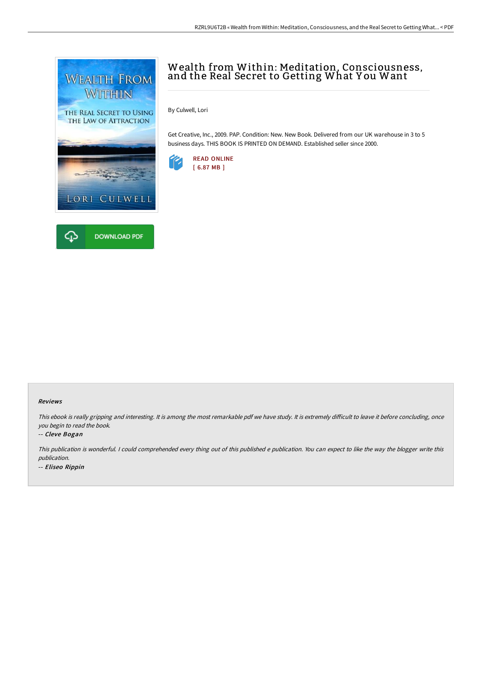



# Wealth from Within: Meditation, Consciousness, and the Real Secret to Getting What Y ou Want

By Culwell, Lori

Get Creative, Inc., 2009. PAP. Condition: New. New Book. Delivered from our UK warehouse in 3 to 5 business days. THIS BOOK IS PRINTED ON DEMAND. Established seller since 2000.



#### Reviews

This ebook is really gripping and interesting. It is among the most remarkable pdf we have study. It is extremely difficult to leave it before concluding, once you begin to read the book.

#### -- Cleve Bogan

This publication is wonderful. <sup>I</sup> could comprehended every thing out of this published <sup>e</sup> publication. You can expect to like the way the blogger write this publication.

-- Eliseo Rippin